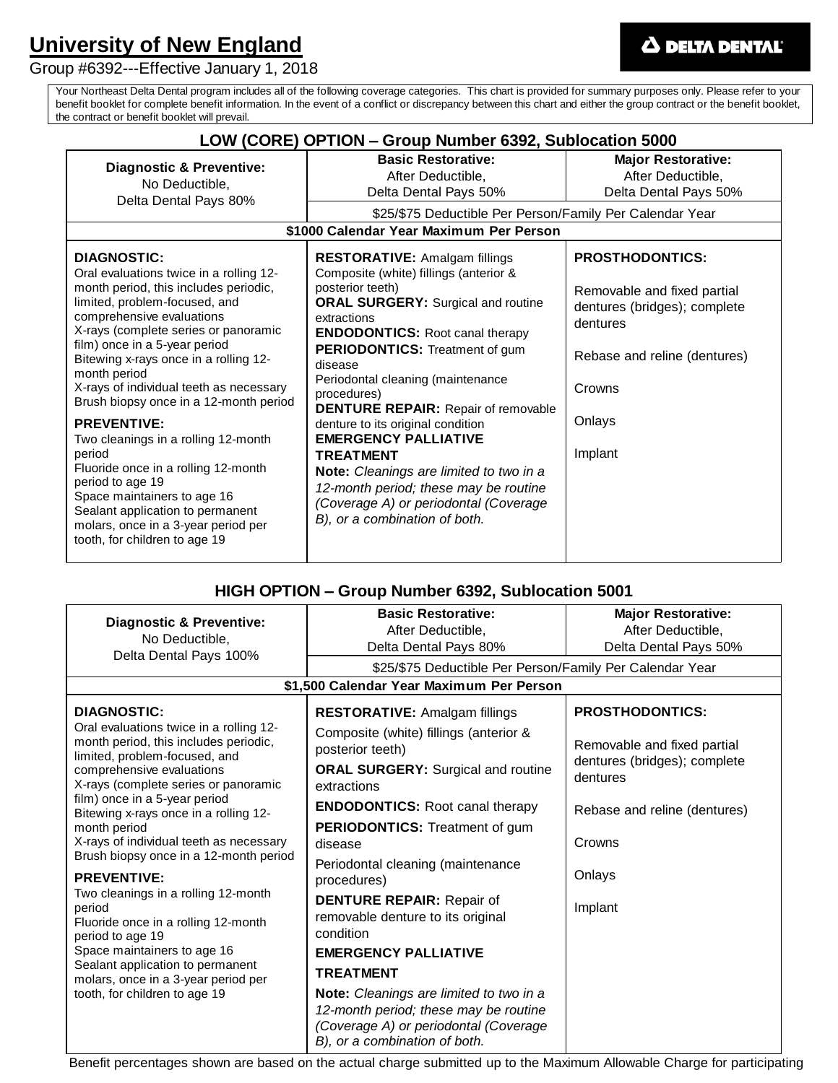# **University of New England**

Group #6392---Effective January 1, 2018

Your Northeast Delta Dental program includes all of the following coverage categories. This chart is provided for summary purposes only. Please refer to your benefit booklet for complete benefit information. In the event of a conflict or discrepancy between this chart and either the group contract or the benefit booklet, the contract or benefit booklet will prevail.

| LOW (CORE) OPTION – Group Number 6392, Sublocation 5000                                                                                                                                                                                                                                                                                                                                                                                                                                                                                                                                                                                                                  |                                                                                                                                                                                                                                                                                                                                                                                                                                                                                                                                                                                                               |                                                                                                                                                                  |  |
|--------------------------------------------------------------------------------------------------------------------------------------------------------------------------------------------------------------------------------------------------------------------------------------------------------------------------------------------------------------------------------------------------------------------------------------------------------------------------------------------------------------------------------------------------------------------------------------------------------------------------------------------------------------------------|---------------------------------------------------------------------------------------------------------------------------------------------------------------------------------------------------------------------------------------------------------------------------------------------------------------------------------------------------------------------------------------------------------------------------------------------------------------------------------------------------------------------------------------------------------------------------------------------------------------|------------------------------------------------------------------------------------------------------------------------------------------------------------------|--|
| <b>Diagnostic &amp; Preventive:</b><br>No Deductible,<br>Delta Dental Pays 80%                                                                                                                                                                                                                                                                                                                                                                                                                                                                                                                                                                                           | <b>Basic Restorative:</b><br>After Deductible,<br>Delta Dental Pays 50%<br>\$25/\$75 Deductible Per Person/Family Per Calendar Year<br>\$1000 Calendar Year Maximum Per Person                                                                                                                                                                                                                                                                                                                                                                                                                                | <b>Major Restorative:</b><br>After Deductible,<br>Delta Dental Pays 50%                                                                                          |  |
| <b>DIAGNOSTIC:</b><br>Oral evaluations twice in a rolling 12-<br>month period, this includes periodic,<br>limited, problem-focused, and<br>comprehensive evaluations<br>X-rays (complete series or panoramic<br>film) once in a 5-year period<br>Bitewing x-rays once in a rolling 12-<br>month period<br>X-rays of individual teeth as necessary<br>Brush biopsy once in a 12-month period<br><b>PREVENTIVE:</b><br>Two cleanings in a rolling 12-month<br>period<br>Fluoride once in a rolling 12-month<br>period to age 19<br>Space maintainers to age 16<br>Sealant application to permanent<br>molars, once in a 3-year period per<br>tooth, for children to age 19 | <b>RESTORATIVE: Amalgam fillings</b><br>Composite (white) fillings (anterior &<br>posterior teeth)<br><b>ORAL SURGERY:</b> Surgical and routine<br>extractions<br><b>ENDODONTICS:</b> Root canal therapy<br>PERIODONTICS: Treatment of gum<br>disease<br>Periodontal cleaning (maintenance<br>procedures)<br><b>DENTURE REPAIR:</b> Repair of removable<br>denture to its original condition<br><b>EMERGENCY PALLIATIVE</b><br><b>TREATMENT</b><br>Note: Cleanings are limited to two in a<br>12-month period; these may be routine<br>(Coverage A) or periodontal (Coverage<br>B), or a combination of both. | <b>PROSTHODONTICS:</b><br>Removable and fixed partial<br>dentures (bridges); complete<br>dentures<br>Rebase and reline (dentures)<br>Crowns<br>Onlays<br>Implant |  |

# **HIGH OPTION – Group Number 6392, Sublocation 5001**

| <b>Diagnostic &amp; Preventive:</b><br>No Deductible,<br>Delta Dental Pays 100%                                                                                                                                                                                                                                                                                                                                                              | <b>Basic Restorative:</b>                                                                                                                                  | <b>Major Restorative:</b>                |  |
|----------------------------------------------------------------------------------------------------------------------------------------------------------------------------------------------------------------------------------------------------------------------------------------------------------------------------------------------------------------------------------------------------------------------------------------------|------------------------------------------------------------------------------------------------------------------------------------------------------------|------------------------------------------|--|
|                                                                                                                                                                                                                                                                                                                                                                                                                                              | After Deductible,                                                                                                                                          | After Deductible,                        |  |
|                                                                                                                                                                                                                                                                                                                                                                                                                                              | Delta Dental Pays 80%                                                                                                                                      | Delta Dental Pays 50%                    |  |
|                                                                                                                                                                                                                                                                                                                                                                                                                                              | \$25/\$75 Deductible Per Person/Family Per Calendar Year                                                                                                   |                                          |  |
| \$1,500 Calendar Year Maximum Per Person                                                                                                                                                                                                                                                                                                                                                                                                     |                                                                                                                                                            |                                          |  |
| <b>DIAGNOSTIC:</b>                                                                                                                                                                                                                                                                                                                                                                                                                           | <b>RESTORATIVE: Amalgam fillings</b>                                                                                                                       | <b>PROSTHODONTICS:</b>                   |  |
| Oral evaluations twice in a rolling 12-<br>month period, this includes periodic,<br>limited, problem-focused, and<br>comprehensive evaluations<br>X-rays (complete series or panoramic<br>film) once in a 5-year period<br>Bitewing x-rays once in a rolling 12-<br>month period<br>X-rays of individual teeth as necessary<br>Brush biopsy once in a 12-month period<br><b>PREVENTIVE:</b><br>Two cleanings in a rolling 12-month<br>period | Composite (white) fillings (anterior &<br>posterior teeth)                                                                                                 | Removable and fixed partial              |  |
|                                                                                                                                                                                                                                                                                                                                                                                                                                              | <b>ORAL SURGERY: Surgical and routine</b><br>extractions                                                                                                   | dentures (bridges); complete<br>dentures |  |
|                                                                                                                                                                                                                                                                                                                                                                                                                                              | <b>ENDODONTICS:</b> Root canal therapy                                                                                                                     | Rebase and reline (dentures)             |  |
|                                                                                                                                                                                                                                                                                                                                                                                                                                              | <b>PERIODONTICS:</b> Treatment of gum                                                                                                                      |                                          |  |
|                                                                                                                                                                                                                                                                                                                                                                                                                                              | disease                                                                                                                                                    | Crowns                                   |  |
|                                                                                                                                                                                                                                                                                                                                                                                                                                              | Periodontal cleaning (maintenance                                                                                                                          | Onlays                                   |  |
|                                                                                                                                                                                                                                                                                                                                                                                                                                              | procedures)                                                                                                                                                |                                          |  |
|                                                                                                                                                                                                                                                                                                                                                                                                                                              | <b>DENTURE REPAIR: Repair of</b><br>removable denture to its original                                                                                      | Implant                                  |  |
| Fluoride once in a rolling 12-month<br>period to age 19                                                                                                                                                                                                                                                                                                                                                                                      | condition                                                                                                                                                  |                                          |  |
| Space maintainers to age 16<br>Sealant application to permanent<br>molars, once in a 3-year period per<br>tooth, for children to age 19                                                                                                                                                                                                                                                                                                      | <b>EMERGENCY PALLIATIVE</b>                                                                                                                                |                                          |  |
|                                                                                                                                                                                                                                                                                                                                                                                                                                              | <b>TREATMENT</b>                                                                                                                                           |                                          |  |
|                                                                                                                                                                                                                                                                                                                                                                                                                                              | Note: Cleanings are limited to two in a<br>12-month period; these may be routine<br>(Coverage A) or periodontal (Coverage<br>B), or a combination of both. |                                          |  |

Benefit percentages shown are based on the actual charge submitted up to the Maximum Allowable Charge for participating